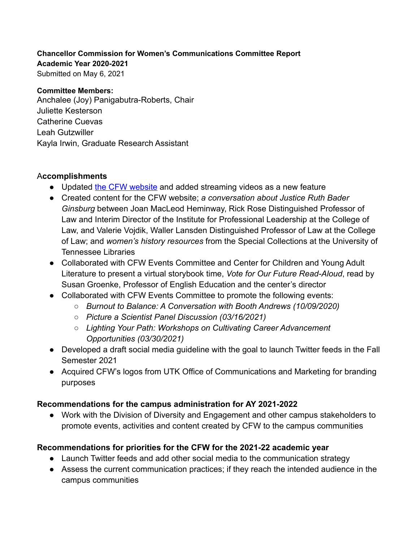### **Chancellor Commission for Women's Communications Committee Report**

**Academic Year 2020-2021**

Submitted on May 6, 2021

#### **Committee Members:**

Anchalee (Joy) Panigabutra-Roberts, Chair Juliette Kesterson Catherine Cuevas Leah Gutzwiller Kayla Irwin, Graduate Research Assistant

## A**ccomplishments**

- Updated [the CFW website](https://cfw.utk.edu/) and added streaming videos as a new feature
- **●** Created content for the CFW website; *a conversation about Justice Ruth Bader Ginsburg* between Joan MacLeod Heminway, Rick Rose Distinguished Professor of Law and Interim Director of the Institute for Professional Leadership at the College of Law, and Valerie Vojdik, Waller Lansden Distinguished Professor of Law at the College of Law; and *women's history resources* from the Special Collections at the University of Tennessee Libraries
- **●** Collaborated with CFW Events Committee and Center for Children and Young Adult Literature to present a virtual storybook time, *Vote for Our Future Read-Aloud*, read by Susan Groenke, Professor of English Education and the center's director
- **●** Collaborated with CFW Events Committee to promote the following events:
	- *○ Burnout to Balance: A Conversation with Booth Andrews (10/09/2020)*
	- *○ Picture a Scientist Panel Discussion (03/16/2021)*
	- *○ Lighting Your Path: Workshops on Cultivating Career Advancement Opportunities (03/30/2021)*
- **●** Developed a draft social media guideline with the goal to launch Twitter feeds in the Fall Semester 2021
- **●** Acquired CFW's logos from UTK Office of Communications and Marketing for branding purposes

# **Recommendations for the campus administration for AY 2021-2022**

● Work with the Division of Diversity and Engagement and other campus stakeholders to promote events, activities and content created by CFW to the campus communities

# **Recommendations for priorities for the CFW for the 2021-22 academic year**

- Launch Twitter feeds and add other social media to the communication strategy
- Assess the current communication practices; if they reach the intended audience in the campus communities